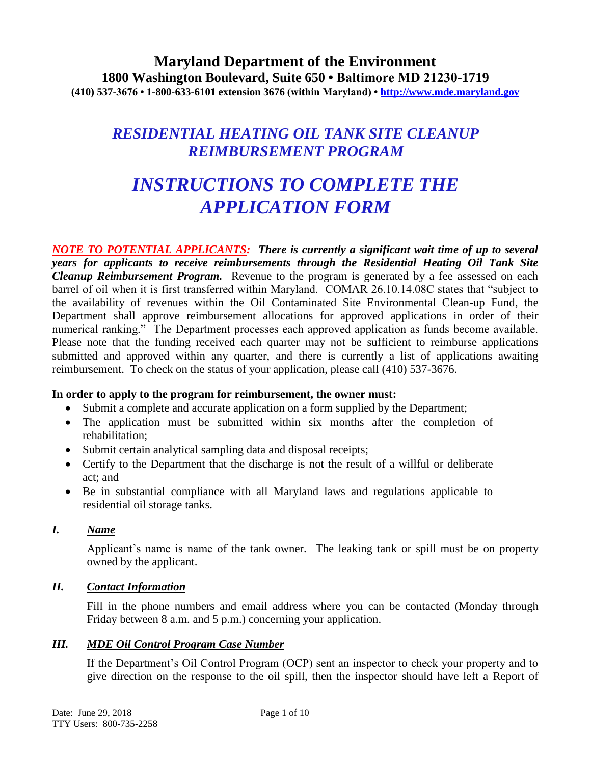# **Maryland Department of the Environment 1800 Washington Boulevard, Suite 650 • Baltimore MD 21230-1719 (410) 537-3676 • 1-800-633-6101 extension 3676 (within Maryland) • http://www.mde.maryland.gov**

# *RESIDENTIAL HEATING OIL TANK SITE CLEANUP REIMBURSEMENT PROGRAM*

# *INSTRUCTIONS TO COMPLETE THE APPLICATION FORM*

*NOTE TO POTENTIAL APPLICANTS: There is currently a significant wait time of up to several years for applicants to receive reimbursements through the Residential Heating Oil Tank Site Cleanup Reimbursement Program.* Revenue to the program is generated by a fee assessed on each barrel of oil when it is first transferred within Maryland. COMAR 26.10.14.08C states that "subject to the availability of revenues within the Oil Contaminated Site Environmental Clean-up Fund, the Department shall approve reimbursement allocations for approved applications in order of their numerical ranking." The Department processes each approved application as funds become available. Please note that the funding received each quarter may not be sufficient to reimburse applications submitted and approved within any quarter, and there is currently a list of applications awaiting reimbursement. To check on the status of your application, please call (410) 537-3676.

# **In order to apply to the program for reimbursement, the owner must:**

- Submit a complete and accurate application on a form supplied by the Department;
- The application must be submitted within six months after the completion of rehabilitation;
- Submit certain analytical sampling data and disposal receipts;
- Certify to the Department that the discharge is not the result of a willful or deliberate act; and
- Be in substantial compliance with all Maryland laws and regulations applicable to residential oil storage tanks.

# *I. Name*

Applicant's name is name of the tank owner. The leaking tank or spill must be on property owned by the applicant.

# *II. Contact Information*

Fill in the phone numbers and email address where you can be contacted (Monday through Friday between 8 a.m. and 5 p.m.) concerning your application.

# *III. MDE Oil Control Program Case Number*

If the Department's Oil Control Program (OCP) sent an inspector to check your property and to give direction on the response to the oil spill, then the inspector should have left a Report of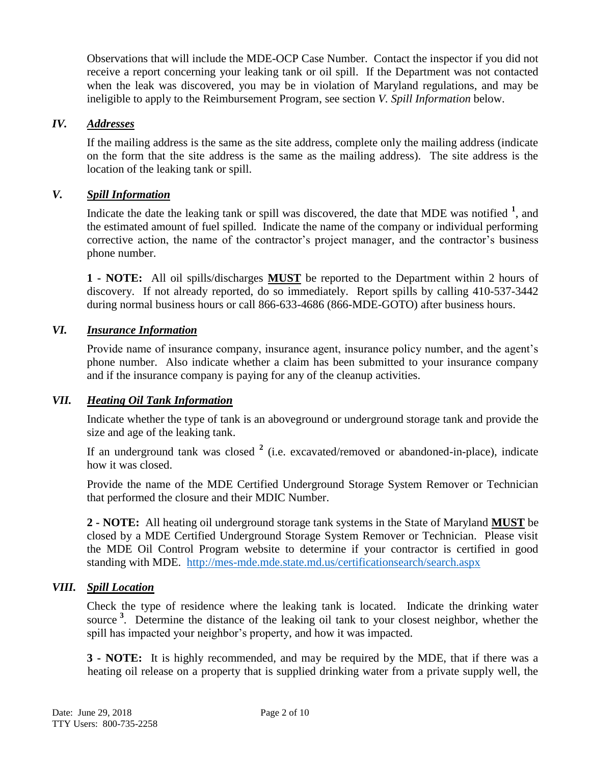Observations that will include the MDE-OCP Case Number. Contact the inspector if you did not receive a report concerning your leaking tank or oil spill. If the Department was not contacted when the leak was discovered, you may be in violation of Maryland regulations, and may be ineligible to apply to the Reimbursement Program, see section *V. Spill Information* below.

# *IV. Addresses*

If the mailing address is the same as the site address, complete only the mailing address (indicate on the form that the site address is the same as the mailing address). The site address is the location of the leaking tank or spill.

# *V. Spill Information*

Indicate the date the leaking tank or spill was discovered, the date that MDE was notified **<sup>1</sup>** , and the estimated amount of fuel spilled. Indicate the name of the company or individual performing corrective action, the name of the contractor's project manager, and the contractor's business phone number.

**1 - NOTE:** All oil spills/discharges **MUST** be reported to the Department within 2 hours of discovery. If not already reported, do so immediately. Report spills by calling 410-537-3442 during normal business hours or call 866-633-4686 (866-MDE-GOTO) after business hours.

# *VI. Insurance Information*

Provide name of insurance company, insurance agent, insurance policy number, and the agent's phone number. Also indicate whether a claim has been submitted to your insurance company and if the insurance company is paying for any of the cleanup activities.

# *VII. Heating Oil Tank Information*

Indicate whether the type of tank is an aboveground or underground storage tank and provide the size and age of the leaking tank.

If an underground tank was closed **<sup>2</sup>** (i.e. excavated/removed or abandoned-in-place), indicate how it was closed.

Provide the name of the MDE Certified Underground Storage System Remover or Technician that performed the closure and their MDIC Number.

**2 - NOTE:** All heating oil underground storage tank systems in the State of Maryland **MUST** be closed by a MDE Certified Underground Storage System Remover or Technician. Please visit the MDE Oil Control Program website to determine if your contractor is certified in good standing with MDE. <http://mes-mde.mde.state.md.us/certificationsearch/search.aspx>

# *VIII. Spill Location*

Check the type of residence where the leaking tank is located. Indicate the drinking water source <sup>3</sup>. Determine the distance of the leaking oil tank to your closest neighbor, whether the spill has impacted your neighbor's property, and how it was impacted.

**3 - NOTE:** It is highly recommended, and may be required by the MDE, that if there was a heating oil release on a property that is supplied drinking water from a private supply well, the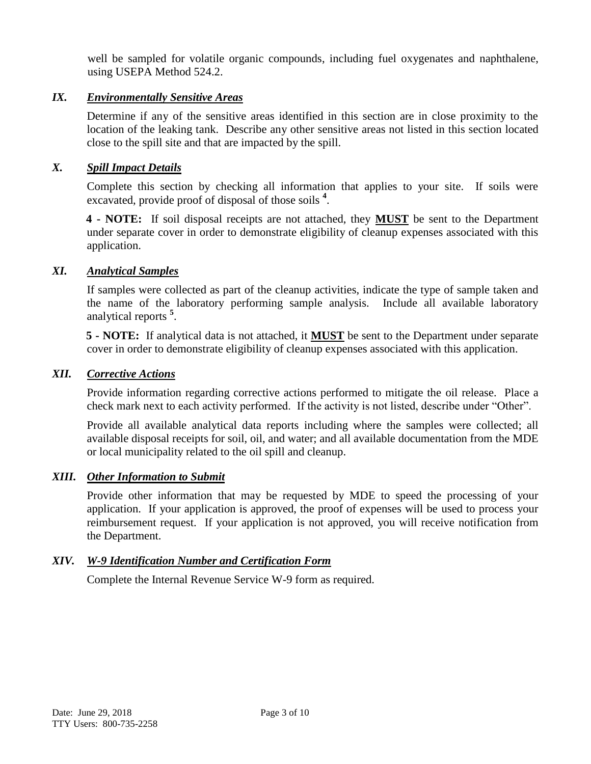well be sampled for volatile organic compounds, including fuel oxygenates and naphthalene, using USEPA Method 524.2.

## *IX. Environmentally Sensitive Areas*

Determine if any of the sensitive areas identified in this section are in close proximity to the location of the leaking tank. Describe any other sensitive areas not listed in this section located close to the spill site and that are impacted by the spill.

## *X. Spill Impact Details*

Complete this section by checking all information that applies to your site. If soils were excavated, provide proof of disposal of those soils **<sup>4</sup>** .

**4 - NOTE:** If soil disposal receipts are not attached, they **MUST** be sent to the Department under separate cover in order to demonstrate eligibility of cleanup expenses associated with this application.

### *XI. Analytical Samples*

If samples were collected as part of the cleanup activities, indicate the type of sample taken and the name of the laboratory performing sample analysis. Include all available laboratory analytical reports **<sup>5</sup>** .

**5 - NOTE:** If analytical data is not attached, it **MUST** be sent to the Department under separate cover in order to demonstrate eligibility of cleanup expenses associated with this application.

## *XII. Corrective Actions*

Provide information regarding corrective actions performed to mitigate the oil release. Place a check mark next to each activity performed. If the activity is not listed, describe under "Other".

Provide all available analytical data reports including where the samples were collected; all available disposal receipts for soil, oil, and water; and all available documentation from the MDE or local municipality related to the oil spill and cleanup.

### *XIII. Other Information to Submit*

Provide other information that may be requested by MDE to speed the processing of your application. If your application is approved, the proof of expenses will be used to process your reimbursement request. If your application is not approved, you will receive notification from the Department.

# *XIV. W-9 Identification Number and Certification Form*

Complete the Internal Revenue Service W-9 form as required.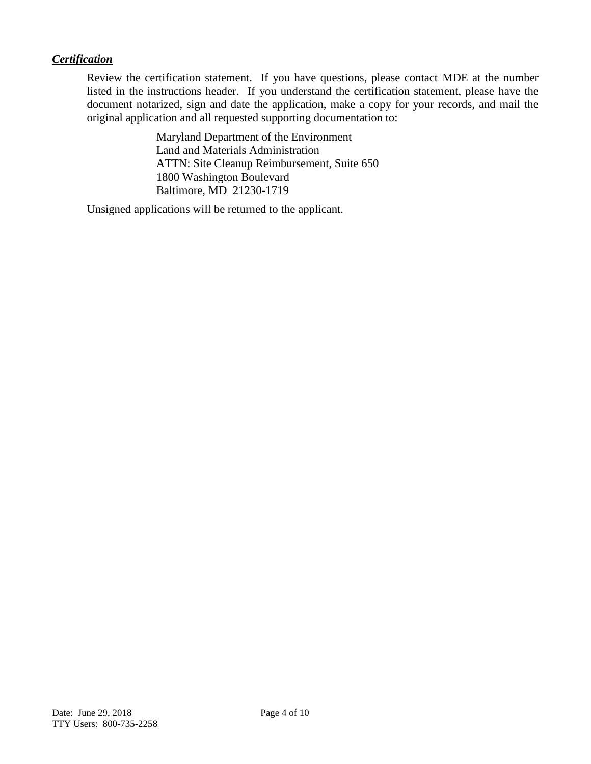# *Certification*

Review the certification statement. If you have questions, please contact MDE at the number listed in the instructions header. If you understand the certification statement, please have the document notarized, sign and date the application, make a copy for your records, and mail the original application and all requested supporting documentation to:

> Maryland Department of the Environment Land and Materials Administration ATTN: Site Cleanup Reimbursement, Suite 650 1800 Washington Boulevard Baltimore, MD 21230-1719

Unsigned applications will be returned to the applicant.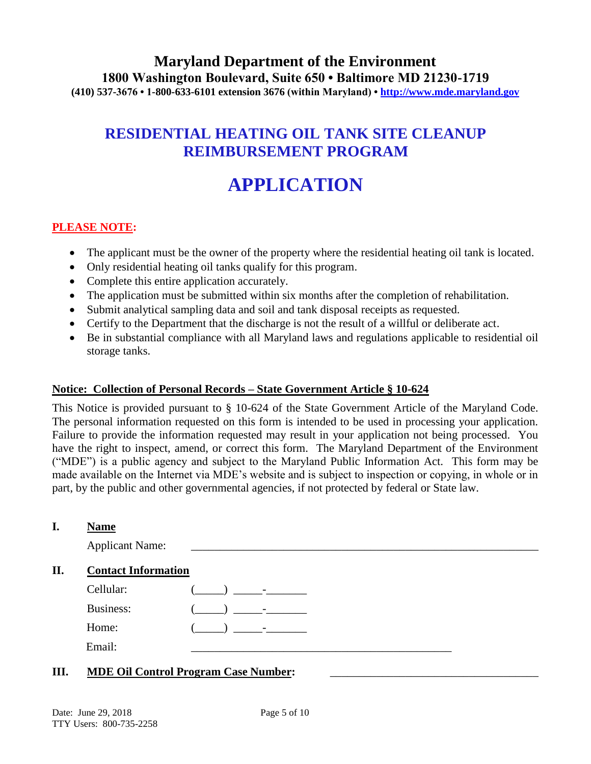# **Maryland Department of the Environment 1800 Washington Boulevard, Suite 650 • Baltimore MD 21230-1719 (410) 537-3676 • 1-800-633-6101 extension 3676 (within Maryland) • http://www.mde.maryland.gov**

# **RESIDENTIAL HEATING OIL TANK SITE CLEANUP REIMBURSEMENT PROGRAM**

# **APPLICATION**

# **PLEASE NOTE:**

- The applicant must be the owner of the property where the residential heating oil tank is located.
- Only residential heating oil tanks qualify for this program.
- Complete this entire application accurately.
- The application must be submitted within six months after the completion of rehabilitation.
- Submit analytical sampling data and soil and tank disposal receipts as requested.
- Certify to the Department that the discharge is not the result of a willful or deliberate act.
- Be in substantial compliance with all Maryland laws and regulations applicable to residential oil storage tanks.

### **Notice: Collection of Personal Records – State Government Article § 10-624**

This Notice is provided pursuant to § 10-624 of the State Government Article of the Maryland Code. The personal information requested on this form is intended to be used in processing your application. Failure to provide the information requested may result in your application not being processed. You have the right to inspect, amend, or correct this form. The Maryland Department of the Environment ("MDE") is a public agency and subject to the Maryland Public Information Act. This form may be made available on the Internet via MDE's website and is subject to inspection or copying, in whole or in part, by the public and other governmental agencies, if not protected by federal or State law.

### **II. Contact Information**

| Cellular: | $\overline{\phantom{0}}$ |
|-----------|--------------------------|
| Business: | $\sim$                   |
| Home:     | $\overline{\phantom{0}}$ |
| Email:    |                          |

# **III.** MDE Oil Control Program Case Number: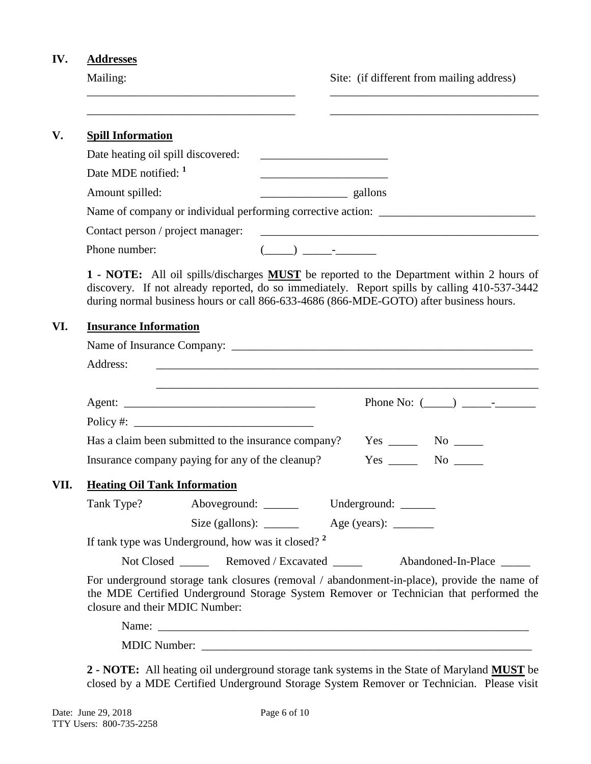# **IV. Addresses**

| Mailing: |  |
|----------|--|
|          |  |

g: Site: (if different from mailing address)

|                 | <b>Spill Information</b>                                                                                                                                                                                                                                                                                                                            |                      |
|-----------------|-----------------------------------------------------------------------------------------------------------------------------------------------------------------------------------------------------------------------------------------------------------------------------------------------------------------------------------------------------|----------------------|
|                 | Date heating oil spill discovered:                                                                                                                                                                                                                                                                                                                  |                      |
|                 | Date MDE notified: <sup>1</sup>                                                                                                                                                                                                                                                                                                                     |                      |
| Amount spilled: | $\frac{\phantom{aaaa}}{\phantom{aaaa}}$ gallons                                                                                                                                                                                                                                                                                                     |                      |
|                 |                                                                                                                                                                                                                                                                                                                                                     |                      |
|                 | Contact person / project manager:                                                                                                                                                                                                                                                                                                                   |                      |
| Phone number:   | $\begin{picture}(20,10) \put(0,0){\line(1,0){10}} \put(15,0){\line(1,0){10}} \put(15,0){\line(1,0){10}} \put(15,0){\line(1,0){10}} \put(15,0){\line(1,0){10}} \put(15,0){\line(1,0){10}} \put(15,0){\line(1,0){10}} \put(15,0){\line(1,0){10}} \put(15,0){\line(1,0){10}} \put(15,0){\line(1,0){10}} \put(15,0){\line(1,0){10}} \put(15,0){\line(1$ |                      |
|                 | during normal business hours or call 866-633-4686 (866-MDE-GOTO) after business hours.<br><b>Insurance Information</b>                                                                                                                                                                                                                              |                      |
|                 |                                                                                                                                                                                                                                                                                                                                                     |                      |
| Address:        |                                                                                                                                                                                                                                                                                                                                                     |                      |
|                 |                                                                                                                                                                                                                                                                                                                                                     |                      |
|                 |                                                                                                                                                                                                                                                                                                                                                     |                      |
|                 |                                                                                                                                                                                                                                                                                                                                                     |                      |
|                 |                                                                                                                                                                                                                                                                                                                                                     |                      |
|                 | Has a claim been submitted to the insurance company?                                                                                                                                                                                                                                                                                                | $Yes \_\_ No \_\_$   |
|                 | Insurance company paying for any of the cleanup?                                                                                                                                                                                                                                                                                                    | $Yes \_\_$ No $\_\_$ |
| VII.            | <b>Heating Oil Tank Information</b>                                                                                                                                                                                                                                                                                                                 |                      |
| Tank Type?      | Aboveground: ______<br>Underground: ______                                                                                                                                                                                                                                                                                                          |                      |
|                 |                                                                                                                                                                                                                                                                                                                                                     |                      |
|                 | If tank type was Underground, how was it closed? <sup>2</sup>                                                                                                                                                                                                                                                                                       |                      |
|                 | Not Closed _________ Removed / Excavated ______                                                                                                                                                                                                                                                                                                     | Abandoned-In-Place   |
|                 | For underground storage tank closures (removal / abandonment-in-place), provide the name of<br>the MDE Certified Underground Storage System Remover or Technician that performed the<br>closure and their MDIC Number:                                                                                                                              |                      |
|                 |                                                                                                                                                                                                                                                                                                                                                     |                      |

**2 - NOTE:** All heating oil underground storage tank systems in the State of Maryland **MUST** be closed by a MDE Certified Underground Storage System Remover or Technician. Please visit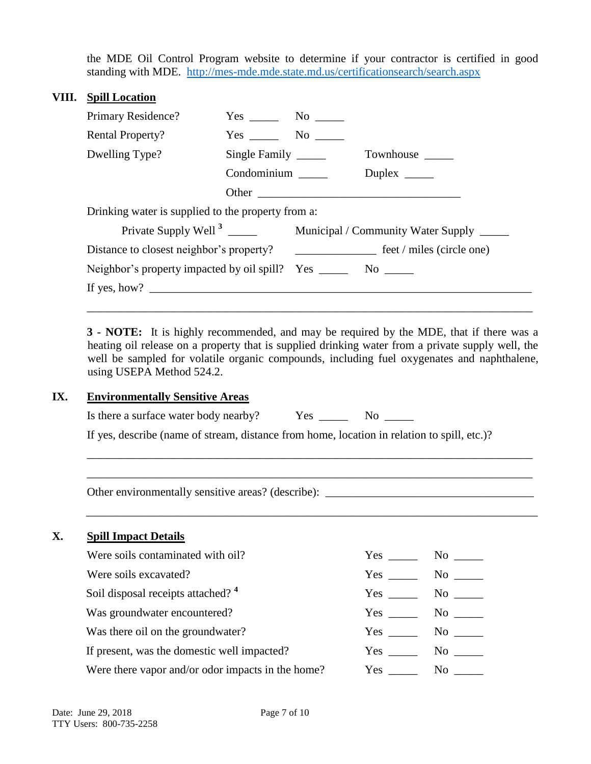the MDE Oil Control Program website to determine if your contractor is certified in good standing with MDE. <http://mes-mde.mde.state.md.us/certificationsearch/search.aspx>

# **VIII. Spill Location**

| Primary Residence?                                                 | $Yes \_\_\_\_\\$ No $\_\_\_\_\$ |  |               |
|--------------------------------------------------------------------|---------------------------------|--|---------------|
| <b>Rental Property?</b>                                            | Yes No                          |  |               |
| Dwelling Type?                                                     | Single Family                   |  |               |
|                                                                    | Condominium                     |  | Duplex $\_\_$ |
|                                                                    |                                 |  | Other         |
| Drinking water is supplied to the property from a:                 |                                 |  |               |
|                                                                    |                                 |  |               |
|                                                                    |                                 |  |               |
| Neighbor's property impacted by oil spill? Yes ________ No _______ |                                 |  |               |
|                                                                    |                                 |  |               |
|                                                                    |                                 |  |               |

**3 - NOTE:** It is highly recommended, and may be required by the MDE, that if there was a heating oil release on a property that is supplied drinking water from a private supply well, the well be sampled for volatile organic compounds, including fuel oxygenates and naphthalene, using USEPA Method 524.2.

# **IX. Environmentally Sensitive Areas**

| Is there a surface water body nearby? | Yes: | N <sub>0</sub> |  |
|---------------------------------------|------|----------------|--|
|---------------------------------------|------|----------------|--|

If yes, describe (name of stream, distance from home, location in relation to spill, etc.)?

\_\_\_\_\_\_\_\_\_\_\_\_\_\_\_\_\_\_\_\_\_\_\_\_\_\_\_\_\_\_\_\_\_\_\_\_\_\_\_\_\_\_\_\_\_\_\_\_\_\_\_\_\_\_\_\_\_\_\_\_\_\_\_\_\_\_\_\_\_\_\_\_\_\_\_\_\_ \_\_\_\_\_\_\_\_\_\_\_\_\_\_\_\_\_\_\_\_\_\_\_\_\_\_\_\_\_\_\_\_\_\_\_\_\_\_\_\_\_\_\_\_\_\_\_\_\_\_\_\_\_\_\_\_\_\_\_\_\_\_\_\_\_\_\_\_\_\_\_\_\_\_\_\_\_

\_\_\_\_\_\_\_\_\_\_\_\_\_\_\_\_\_\_\_\_\_\_\_\_\_\_\_\_\_\_\_\_\_\_\_\_\_\_\_\_\_\_\_\_\_\_\_\_\_\_\_\_\_\_\_\_\_\_\_\_\_\_\_\_\_\_\_\_\_\_\_\_\_\_\_\_\_\_

Other environmentally sensitive areas? (describe): \_\_\_\_\_\_\_\_\_\_\_\_\_\_\_\_\_\_\_\_\_\_\_\_\_\_\_\_\_\_\_\_\_\_\_\_

# **X. Spill Impact Details**

| Were soils contaminated with oil?                 | Yes        | No                                                                                                                                                                                                                             |
|---------------------------------------------------|------------|--------------------------------------------------------------------------------------------------------------------------------------------------------------------------------------------------------------------------------|
| Were soils excavated?                             | Yes        | No                                                                                                                                                                                                                             |
| Soil disposal receipts attached? <sup>4</sup>     | Yes        | No                                                                                                                                                                                                                             |
| Was groundwater encountered?                      | Yes        | No                                                                                                                                                                                                                             |
| Was there oil on the groundwater?                 | Yes        | No note that the set of the set of the set of the set of the set of the set of the set of the set of the set of the set of the set of the set of the set of the set of the set of the set of the set of the set of the set of  |
| If present, was the domestic well impacted?       | Yes        | No                                                                                                                                                                                                                             |
| Were there vapor and/or odor impacts in the home? | $Yes \t —$ | No the set of the set of the set of the set of the set of the set of the set of the set of the set of the set of the set of the set of the set of the set of the set of the set of the set of the set of the set of the set of |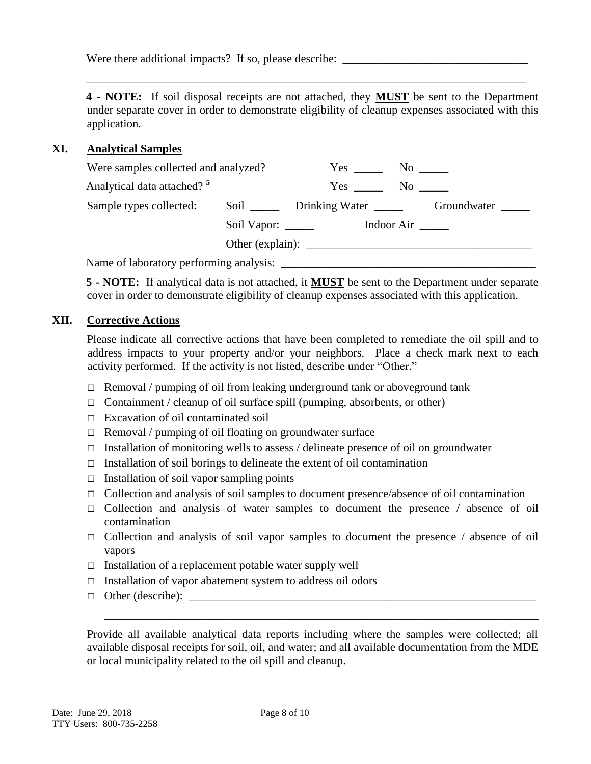Were there additional impacts? If so, please describe:

**4 - NOTE:** If soil disposal receipts are not attached, they **MUST** be sent to the Department under separate cover in order to demonstrate eligibility of cleanup expenses associated with this application.

\_\_\_\_\_\_\_\_\_\_\_\_\_\_\_\_\_\_\_\_\_\_\_\_\_\_\_\_\_\_\_\_\_\_\_\_\_\_\_\_\_\_\_\_\_\_\_\_\_\_\_\_\_\_\_\_\_\_\_\_\_\_\_\_\_\_\_\_\_\_\_\_\_\_\_\_

## **XI. Analytical Samples**

| Were samples collected and analyzed?               |             | Yes                               |                     |             |
|----------------------------------------------------|-------------|-----------------------------------|---------------------|-------------|
| Analytical data attached? <sup>5</sup>             |             | Yes No                            |                     |             |
| Sample types collected:                            |             | Soil _______ Drinking Water _____ |                     | Groundwater |
|                                                    | Soil Vapor: |                                   | Indoor Air $\qquad$ |             |
|                                                    |             | Other (explain):                  |                     |             |
| $N_{\text{max}}$ of laboratory norforming analysis |             |                                   |                     |             |

Name of laboratory performing analysis: \_\_\_\_\_\_\_\_\_\_\_\_\_\_\_\_\_\_\_\_\_\_\_\_\_\_\_\_\_\_\_\_\_\_\_\_\_\_\_\_\_\_\_\_

**5 - NOTE:** If analytical data is not attached, it **MUST** be sent to the Department under separate cover in order to demonstrate eligibility of cleanup expenses associated with this application.

## **XII. Corrective Actions**

Please indicate all corrective actions that have been completed to remediate the oil spill and to address impacts to your property and/or your neighbors. Place a check mark next to each activity performed. If the activity is not listed, describe under "Other."

- $\Box$  Removal / pumping of oil from leaking underground tank or aboveground tank
- $\Box$  Containment / cleanup of oil surface spill (pumping, absorbents, or other)
- □ Excavation of oil contaminated soil
- □ Removal / pumping of oil floating on groundwater surface
- $\Box$  Installation of monitoring wells to assess / delineate presence of oil on groundwater
- $\Box$  Installation of soil borings to delineate the extent of oil contamination
- $\Box$  Installation of soil vapor sampling points
- □ Collection and analysis of soil samples to document presence/absence of oil contamination
- $\Box$  Collection and analysis of water samples to document the presence / absence of oil contamination
- $\Box$  Collection and analysis of soil vapor samples to document the presence / absence of oil vapors
- $\Box$  Installation of a replacement potable water supply well
- $\Box$  Installation of vapor abatement system to address oil odors
- □ Other (describe): \_\_\_\_\_\_\_\_\_\_\_\_\_\_\_\_\_\_\_\_\_\_\_\_\_\_\_\_\_\_\_\_\_\_\_\_\_\_\_\_\_\_\_\_\_\_\_\_\_\_\_\_\_\_\_\_\_\_\_\_

Provide all available analytical data reports including where the samples were collected; all available disposal receipts for soil, oil, and water; and all available documentation from the MDE or local municipality related to the oil spill and cleanup.

\_\_\_\_\_\_\_\_\_\_\_\_\_\_\_\_\_\_\_\_\_\_\_\_\_\_\_\_\_\_\_\_\_\_\_\_\_\_\_\_\_\_\_\_\_\_\_\_\_\_\_\_\_\_\_\_\_\_\_\_\_\_\_\_\_\_\_\_\_\_\_\_\_\_\_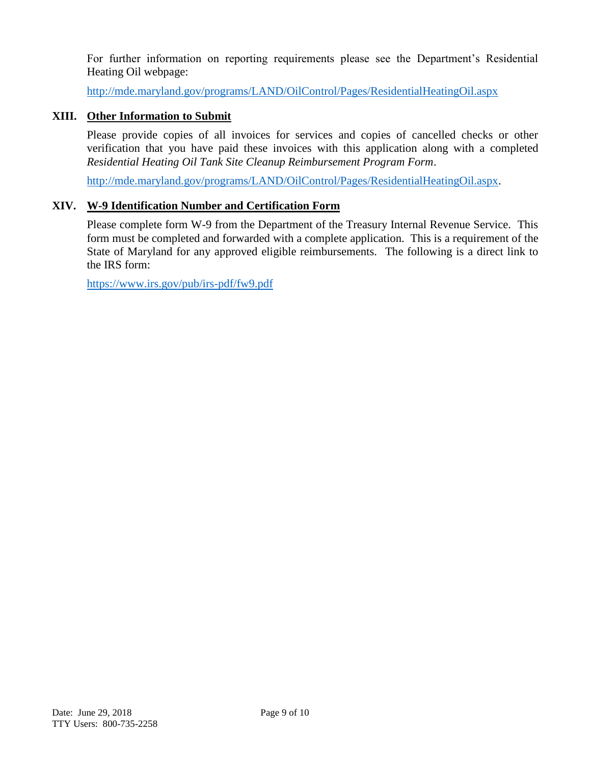For further information on reporting requirements please see the Department's Residential Heating Oil webpage:

<http://mde.maryland.gov/programs/LAND/OilControl/Pages/ResidentialHeatingOil.aspx>

# **XIII. Other Information to Submit**

Please provide copies of all invoices for services and copies of cancelled checks or other verification that you have paid these invoices with this application along with a completed *Residential Heating Oil Tank Site Cleanup Reimbursement Program Form*.

[http://mde.maryland.gov/programs/LAND/OilControl/Pages/ResidentialHeatingOil.aspx.](http://mde.maryland.gov/programs/LAND/OilControl/Pages/ResidentialHeatingOil.aspx)

# **XIV. W-9 Identification Number and Certification Form**

Please complete form W-9 from the Department of the Treasury Internal Revenue Service. This form must be completed and forwarded with a complete application. This is a requirement of the State of Maryland for any approved eligible reimbursements. The following is a direct link to the IRS form:

<https://www.irs.gov/pub/irs-pdf/fw9.pdf>